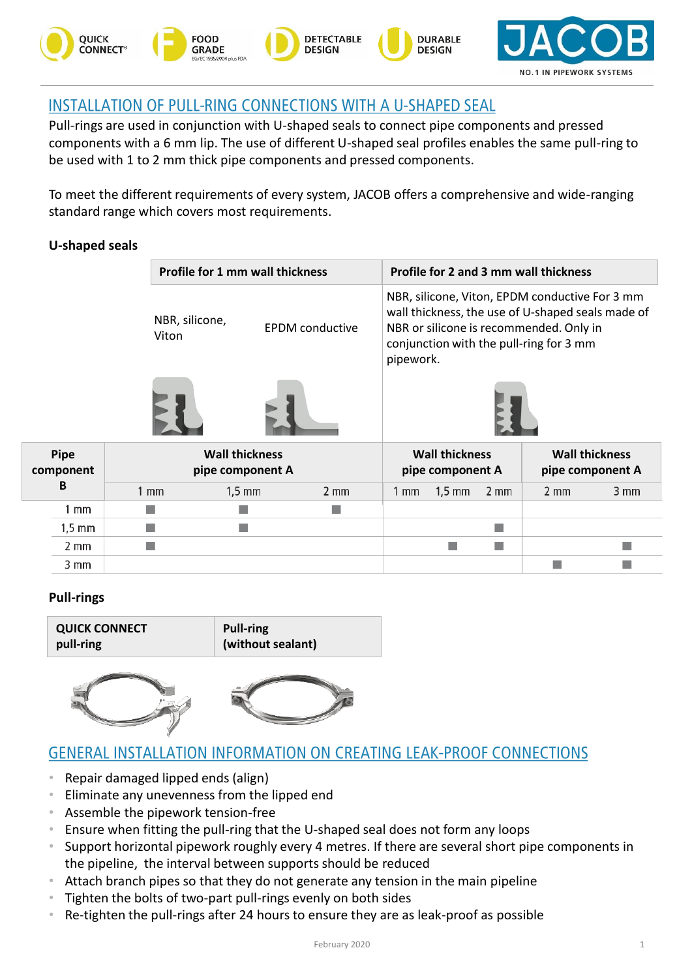

# **INSTALLATION OF PULL-RING CONNECTIONS WITH A U-SHAPED SEAL**

Pull-rings are used in conjunction with U-shaped seals to connect pipe components and pressed components with a 6 mm lip. The use of different U-shaped seal profiles enables the same pull-ring to be used with 1 to 2 mm thick pipe components and pressed components.

To meet the different requirements of every system, JACOB offers a comprehensive and wide-ranging standard range which covers most requirements.

## **U-shaped seals**

|                  |                | <b>Profile for 1 mm wall thickness</b>    |                |                | <b>Profile for 2 and 3 mm wall thickness</b>                                                                                                                                                           |                  |                  |                                           |  |
|------------------|----------------|-------------------------------------------|----------------|----------------|--------------------------------------------------------------------------------------------------------------------------------------------------------------------------------------------------------|------------------|------------------|-------------------------------------------|--|
|                  | Viton          | NBR, silicone,<br><b>EPDM</b> conductive  |                |                | NBR, silicone, Viton, EPDM conductive For 3 mm<br>wall thickness, the use of U-shaped seals made of<br>NBR or silicone is recommended. Only in<br>conjunction with the pull-ring for 3 mm<br>pipework. |                  |                  |                                           |  |
|                  |                |                                           |                |                |                                                                                                                                                                                                        |                  |                  |                                           |  |
| Pipe<br>mponent  |                | <b>Wall thickness</b><br>pipe component A |                |                | <b>Wall thickness</b><br>pipe component A                                                                                                                                                              |                  |                  | <b>Wall thickness</b><br>pipe component A |  |
| B                | $1 \text{ mm}$ | $1,5 \text{ mm}$                          | $2 \text{ mm}$ | $1 \text{ mm}$ | $1,5 \text{ mm}$                                                                                                                                                                                       | $2 \, \text{mm}$ | $2 \, \text{mm}$ | 3 mm                                      |  |
| 1 mm             |                |                                           |                |                |                                                                                                                                                                                                        |                  |                  |                                           |  |
| $1,5 \text{ mm}$ |                |                                           |                |                |                                                                                                                                                                                                        |                  |                  |                                           |  |
| 2 mm             |                |                                           |                |                |                                                                                                                                                                                                        |                  |                  |                                           |  |

### **Pull-rings**

3 mm

**component**

| <b>QUICK CONNECT</b> | <b>Pull-ring</b>  |  |  |  |  |
|----------------------|-------------------|--|--|--|--|
| pull-ring            | (without sealant) |  |  |  |  |



## **GENERAL INSTALLATION INFORMATION ON CREATING LEAK-PROOF CONNECTIONS**

- Repair damaged lipped ends (align)
- Eliminate any unevenness from the lipped end
- Assemble the pipework tension-free
- Ensure when fitting the pull-ring that the U-shaped seal does not form any loops
- Support horizontal pipework roughly every 4 metres. If there are several short pipe components in the pipeline, the interval between supports should be reduced
- Attach branch pipes so that they do not generate any tension in the main pipeline
- Tighten the bolts of two-part pull-rings evenly on both sides
- Re-tighten the pull-rings after 24 hours to ensure they are as leak-proof as possible

П

T.